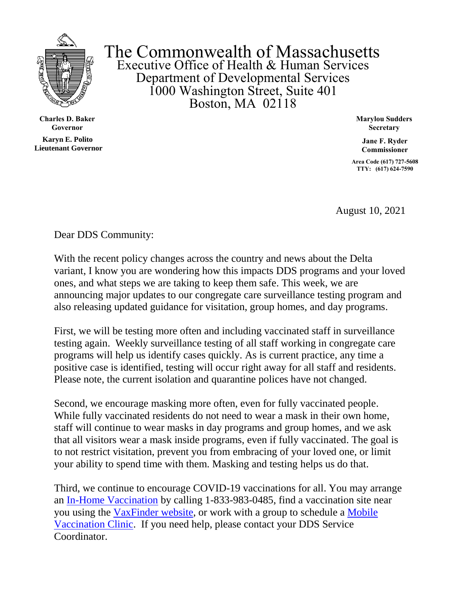

**Charles D. Baker Governor**

**Karyn E. Polito Lieutenant Governor**

The Commonwealth of Massachusetts Executive Office of Health & Human Services Department of Developmental Services 1000 Washington Street, Suite 401 Boston, MA 02118

> **Marylou Sudders Secretary**

**Jane F. Ryder Commissioner**

**Area Code (617) 727-5608 TTY: (617) 624-7590**

August 10, 2021

Dear DDS Community:

With the recent policy changes across the country and news about the Delta variant, I know you are wondering how this impacts DDS programs and your loved ones, and what steps we are taking to keep them safe. This week, we are announcing major updates to our congregate care surveillance testing program and also releasing updated guidance for visitation, group homes, and day programs.

First, we will be testing more often and including vaccinated staff in surveillance testing again. Weekly surveillance testing of all staff working in congregate care programs will help us identify cases quickly. As is current practice, any time a positive case is identified, testing will occur right away for all staff and residents. Please note, the current isolation and quarantine polices have not changed.

Second, we encourage masking more often, even for fully vaccinated people. While fully vaccinated residents do not need to wear a mask in their own home, staff will continue to wear masks in day programs and group homes, and we ask that all visitors wear a mask inside programs, even if fully vaccinated. The goal is to not restrict visitation, prevent you from embracing of your loved one, or limit your ability to spend time with them. Masking and testing helps us do that.

Third, we continue to encourage COVID-19 vaccinations for all. You may arrange an In-Home [Vaccination](https://www.mass.gov/info-details/covid-19-in-home-vaccination-program) by calling 1-833-983-0485, find a vaccination site near you using the [VaxFinder](https://vaxfinder.mass.gov/) website, or work with a group to schedule a [Mobile](https://www.mass.gov/info-details/covid-19-mobile-vaccination-program)  [Vaccination Clinic.](https://www.mass.gov/info-details/covid-19-mobile-vaccination-program) If you need help, please contact your DDS Service Coordinator.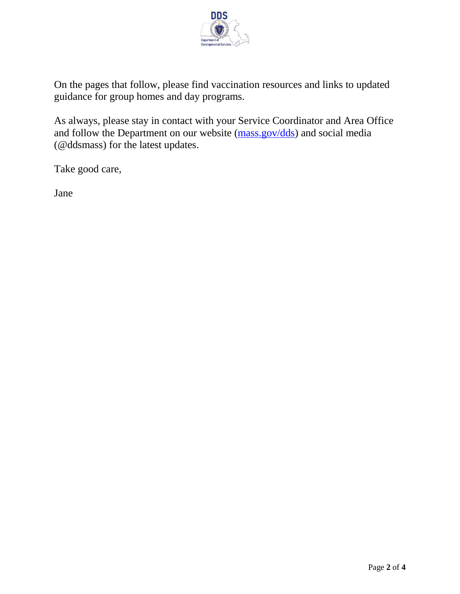

On the pages that follow, please find vaccination resources and links to updated guidance for group homes and day programs.

As always, please stay in contact with your Service Coordinator and Area Office and follow the Department on our website [\(mass.gov/dds\)](https://www.mass.gov/orgs/department-of-developmental-services) and social media (@ddsmass) for the latest updates.

Take good care,

Jane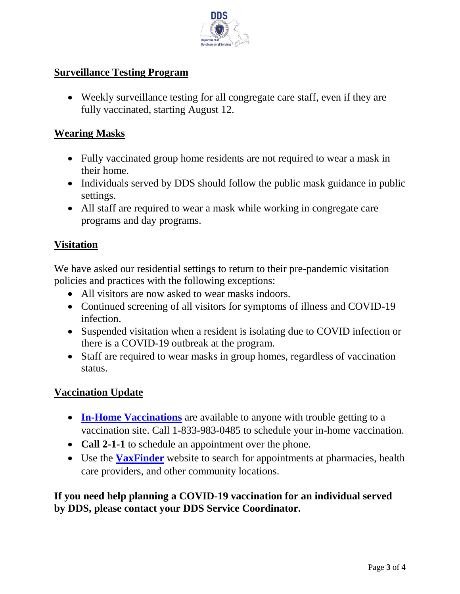

## **Surveillance Testing Program**

• Weekly surveillance testing for all congregate care staff, even if they are fully vaccinated, starting August 12.

### **Wearing Masks**

- Fully vaccinated group home residents are not required to wear a mask in their home.
- Individuals served by DDS should follow the public mask guidance in public settings.
- All staff are required to wear a mask while working in congregate care programs and day programs.

## **Visitation**

We have asked our residential settings to return to their pre-pandemic visitation policies and practices with the following exceptions:

- All visitors are now asked to wear masks indoors.
- Continued screening of all visitors for symptoms of illness and COVID-19 infection.
- Suspended visitation when a resident is isolating due to COVID infection or there is a COVID-19 outbreak at the program.
- Staff are required to wear masks in group homes, regardless of vaccination status.

## **Vaccination Update**

- **In-Home [Vaccinations](https://www.mass.gov/info-details/covid-19-in-home-vaccination-program)** are available to anyone with trouble getting to a vaccination site. Call 1-833-983-0485 to schedule your in-home vaccination.
- **Call 2-1-1** to schedule an appointment over the phone.
- Use the **[VaxFinder](https://vaxfinder.mass.gov/)** website to search for appointments at pharmacies, health care providers, and other community locations.

# **If you need help planning a COVID-19 vaccination for an individual served by DDS, please contact your DDS Service Coordinator.**